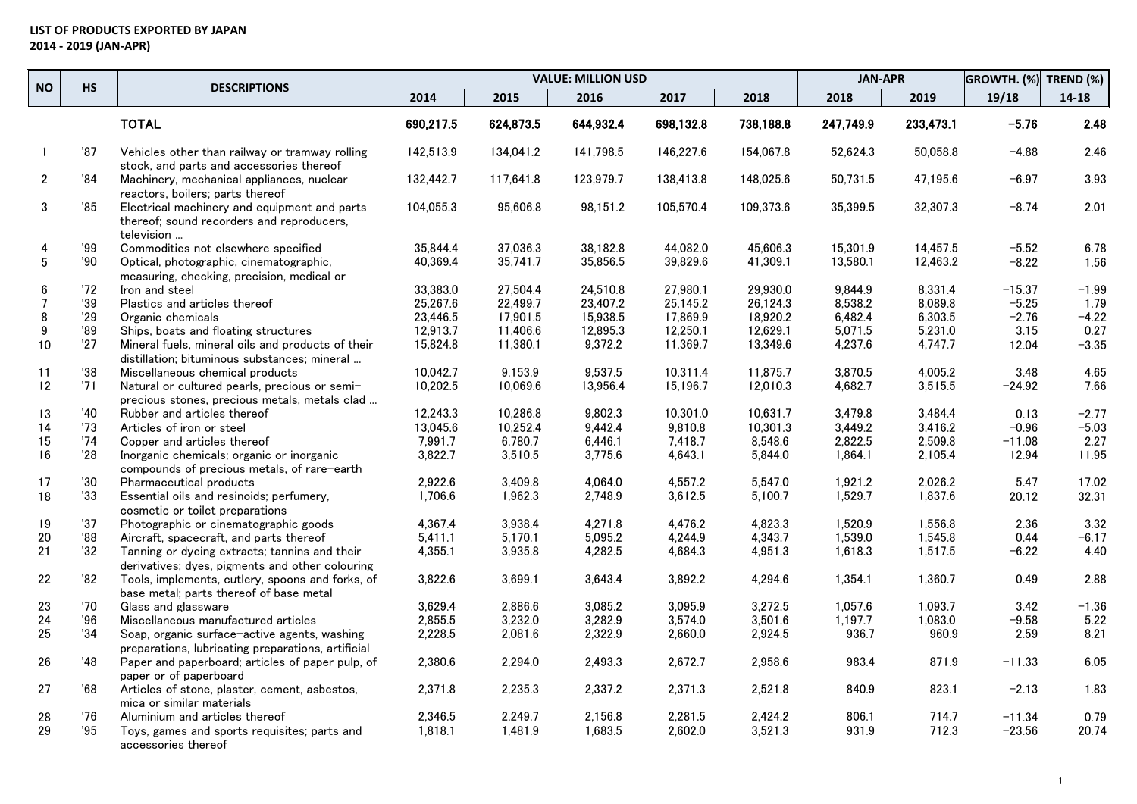|                 |              |                                                                                                         |           |           | <b>VALUE: MILLION USD</b> |           |           | <b>JAN-APR</b> |           | GROWTH. (%) | TREND (%) |
|-----------------|--------------|---------------------------------------------------------------------------------------------------------|-----------|-----------|---------------------------|-----------|-----------|----------------|-----------|-------------|-----------|
| <b>NO</b>       | <b>HS</b>    | <b>DESCRIPTIONS</b>                                                                                     | 2014      | 2015      | 2016                      | 2017      | 2018      | 2018           | 2019      | 19/18       | $14 - 18$ |
|                 |              | <b>TOTAL</b>                                                                                            | 690,217.5 | 624,873.5 | 644,932.4                 | 698,132.8 | 738,188.8 | 247,749.9      | 233,473.1 | $-5.76$     | 2.48      |
| $\overline{1}$  | '87          | Vehicles other than railway or tramway rolling<br>stock, and parts and accessories thereof              | 142,513.9 | 134,041.2 | 141,798.5                 | 146,227.6 | 154,067.8 | 52,624.3       | 50,058.8  | -4.88       | 2.46      |
| $\mathbf{2}$    | '84          | Machinery, mechanical appliances, nuclear<br>reactors, boilers; parts thereof                           | 132,442.7 | 117,641.8 | 123,979.7                 | 138,413.8 | 148,025.6 | 50,731.5       | 47,195.6  | -6.97       | 3.93      |
| 3               | '85          | Electrical machinery and equipment and parts<br>thereof; sound recorders and reproducers,<br>television | 104,055.3 | 95,606.8  | 98,151.2                  | 105,570.4 | 109,373.6 | 35,399.5       | 32,307.3  | -8.74       | 2.01      |
| 4               | '99          | Commodities not elsewhere specified                                                                     | 35.844.4  | 37.036.3  | 38.182.8                  | 44.082.0  | 45,606.3  | 15.301.9       | 14.457.5  | $-5.52$     | 6.78      |
| $5\phantom{.0}$ | '90          | Optical, photographic, cinematographic,<br>measuring, checking, precision, medical or                   | 40,369.4  | 35,741.7  | 35,856.5                  | 39,829.6  | 41,309.1  | 13,580.1       | 12,463.2  | $-8.22$     | 1.56      |
| 6               | 72           | Iron and steel                                                                                          | 33,383.0  | 27.504.4  | 24,510.8                  | 27,980.1  | 29,930.0  | 9,844.9        | 8,331.4   | $-15.37$    | $-1.99$   |
| $\overline{7}$  | 39           | Plastics and articles thereof                                                                           | 25,267.6  | 22,499.7  | 23,407.2                  | 25,145.2  | 26,124.3  | 8,538.2        | 8,089.8   | $-5.25$     | 1.79      |
| 8               | '29          | Organic chemicals                                                                                       | 23,446.5  | 17,901.5  | 15,938.5                  | 17,869.9  | 18,920.2  | 6,482.4        | 6,303.5   | $-2.76$     | $-4.22$   |
| 9               | '89          | Ships, boats and floating structures                                                                    | 12,913.7  | 11,406.6  | 12,895.3                  | 12,250.1  | 12,629.1  | 5,071.5        | 5,231.0   | 3.15        | 0.27      |
| 10              | 27           | Mineral fuels, mineral oils and products of their<br>distillation: bituminous substances: mineral       | 15,824.8  | 11,380.1  | 9,372.2                   | 11,369.7  | 13,349.6  | 4,237.6        | 4,747.7   | 12.04       | $-3.35$   |
| 11              | 38           | Miscellaneous chemical products                                                                         | 10,042.7  | 9,153.9   | 9,537.5                   | 10,311.4  | 11,875.7  | 3,870.5        | 4,005.2   | 3.48        | 4.65      |
| 12              | '71          | Natural or cultured pearls, precious or semi-<br>precious stones, precious metals, metals clad          | 10,202.5  | 10,069.6  | 13,956.4                  | 15,196.7  | 12,010.3  | 4,682.7        | 3,515.5   | $-24.92$    | 7.66      |
| 13              | '40          | Rubber and articles thereof                                                                             | 12,243.3  | 10,286.8  | 9,802.3                   | 10,301.0  | 10,631.7  | 3,479.8        | 3,484.4   | 0.13        | $-2.77$   |
| 14              | '73          | Articles of iron or steel                                                                               | 13,045.6  | 10,252.4  | 9,442.4                   | 9,810.8   | 10,301.3  | 3,449.2        | 3,416.2   | -0.96       | $-5.03$   |
| 15              | '74          | Copper and articles thereof                                                                             | 7,991.7   | 6,780.7   | 6,446.1                   | 7,418.7   | 8,548.6   | 2,822.5        | 2,509.8   | $-11.08$    | 2.27      |
| 16              | 28           | Inorganic chemicals; organic or inorganic<br>compounds of precious metals, of rare-earth                | 3,822.7   | 3,510.5   | 3,775.6                   | 4,643.1   | 5,844.0   | 1,864.1        | 2,105.4   | 12.94       | 11.95     |
| 17              | $30^{\circ}$ | Pharmaceutical products                                                                                 | 2,922.6   | 3,409.8   | 4,064.0                   | 4,557.2   | 5,547.0   | 1,921.2        | 2,026.2   | 5.47        | 17.02     |
| 18              | 33           | Essential oils and resinoids; perfumery,<br>cosmetic or toilet preparations                             | 1,706.6   | 1,962.3   | 2,748.9                   | 3,612.5   | 5,100.7   | 1,529.7        | 1,837.6   | 20.12       | 32.31     |
| 19              | 37           | Photographic or cinematographic goods                                                                   | 4.367.4   | 3.938.4   | 4.271.8                   | 4.476.2   | 4.823.3   | 1.520.9        | 1.556.8   | 2.36        | 3.32      |
| 20              | '88          | Aircraft, spacecraft, and parts thereof                                                                 | 5.411.1   | 5.170.1   | 5.095.2                   | 4,244.9   | 4,343.7   | 1,539.0        | 1.545.8   | 0.44        | $-6.17$   |
| 21              | 32           | Tanning or dyeing extracts; tannins and their<br>derivatives; dyes, pigments and other colouring        | 4,355.1   | 3,935.8   | 4,282.5                   | 4,684.3   | 4,951.3   | 1,618.3        | 1,517.5   | $-6.22$     | 4.40      |
| 22              | '82          | Tools, implements, cutlery, spoons and forks, of<br>base metal; parts thereof of base metal             | 3,822.6   | 3,699.1   | 3,643.4                   | 3,892.2   | 4,294.6   | 1,354.1        | 1,360.7   | 0.49        | 2.88      |
| 23              | $70^{\circ}$ | Glass and glassware                                                                                     | 3.629.4   | 2.886.6   | 3.085.2                   | 3.095.9   | 3.272.5   | 1.057.6        | 1.093.7   | 3.42        | $-1.36$   |
| 24              | '96          | Miscellaneous manufactured articles                                                                     | 2,855.5   | 3,232.0   | 3,282.9                   | 3,574.0   | 3,501.6   | 1,197.7        | 1,083.0   | $-9.58$     | 5.22      |
| 25              | 34           | Soap, organic surface-active agents, washing<br>preparations, lubricating preparations, artificial      | 2,228.5   | 2,081.6   | 2,322.9                   | 2,660.0   | 2,924.5   | 936.7          | 960.9     | 2.59        | 8.21      |
| 26              | '48          | Paper and paperboard; articles of paper pulp, of<br>paper or of paperboard                              | 2,380.6   | 2,294.0   | 2,493.3                   | 2,672.7   | 2,958.6   | 983.4          | 871.9     | $-11.33$    | 6.05      |
| 27              | '68          | Articles of stone, plaster, cement, asbestos,<br>mica or similar materials                              | 2,371.8   | 2,235.3   | 2,337.2                   | 2,371.3   | 2,521.8   | 840.9          | 823.1     | $-2.13$     | 1.83      |
| 28              | '76          | Aluminium and articles thereof                                                                          | 2,346.5   | 2,249.7   | 2,156.8                   | 2,281.5   | 2,424.2   | 806.1          | 714.7     | $-11.34$    | 0.79      |
| 29              | '95          | Toys, games and sports requisites; parts and<br>accessories thereof                                     | 1,818.1   | 1,481.9   | 1,683.5                   | 2,602.0   | 3,521.3   | 931.9          | 712.3     | $-23.56$    | 20.74     |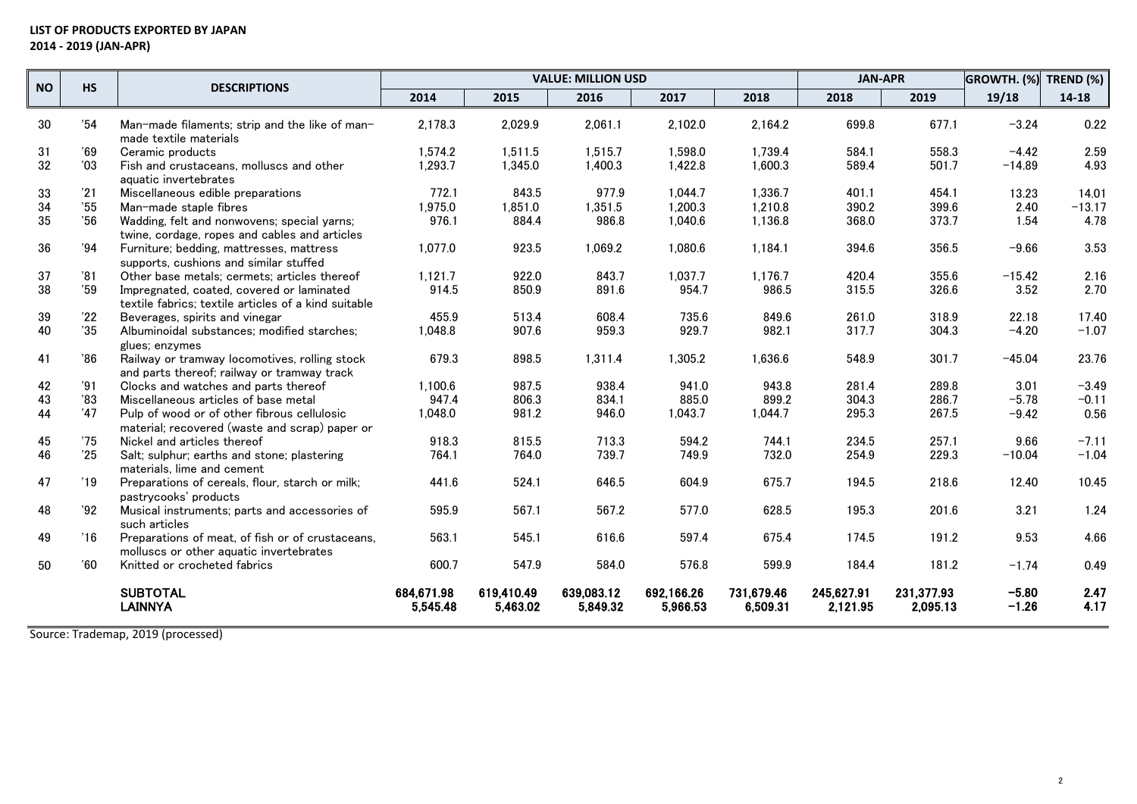## **LIST OF PRODUCTS EXPORTED BY JAPAN 2014 - 2019 (JAN-APR)**

| <b>HS</b><br><b>NO</b> |     | <b>DESCRIPTIONS</b>                                                                               |                        |                        | <b>VALUE: MILLION USD</b> |                        |                        | <b>JAN-APR</b>         |                        | GROWTH. (%)        | TREND $(\%)$ |
|------------------------|-----|---------------------------------------------------------------------------------------------------|------------------------|------------------------|---------------------------|------------------------|------------------------|------------------------|------------------------|--------------------|--------------|
|                        |     |                                                                                                   | 2014                   | 2015                   | 2016                      | 2017                   | 2018                   | 2018                   | 2019                   | 19/18              | 14-18        |
| 30                     | 34' | Man-made filaments: strip and the like of man-<br>made textile materials                          | 2,178.3                | 2,029.9                | 2,061.1                   | 2,102.0                | 2,164.2                | 699.8                  | 677.1                  | $-3.24$            | 0.22         |
| 31                     | '69 | Ceramic products                                                                                  | 1.574.2                | 1.511.5                | 1.515.7                   | 1.598.0                | 1.739.4                | 584.1                  | 558.3                  | $-4.42$            | 2.59         |
| 32                     | '03 | Fish and crustaceans, molluscs and other<br>aquatic invertebrates                                 | 1,293.7                | 1,345.0                | 1,400.3                   | 1,422.8                | 1,600.3                | 589.4                  | 501.7                  | $-14.89$           | 4.93         |
| 33                     | '21 | Miscellaneous edible preparations                                                                 | 772.1                  | 843.5                  | 977.9                     | 1,044.7                | 1,336.7                | 401.1                  | 454.1                  | 13.23              | 14.01        |
| 34                     | '55 | Man-made staple fibres                                                                            | 1,975.0                | 1,851.0                | 1,351.5                   | 1,200.3                | 1,210.8                | 390.2                  | 399.6                  | 2.40               | $-13.17$     |
| 35                     | '56 | Wadding, felt and nonwovens; special yarns;<br>twine, cordage, ropes and cables and articles      | 976.1                  | 884.4                  | 986.8                     | 1,040.6                | 1,136.8                | 368.0                  | 373.7                  | 1.54               | 4.78         |
| 36                     | '94 | Furniture; bedding, mattresses, mattress<br>supports, cushions and similar stuffed                | 1,077.0                | 923.5                  | 1,069.2                   | 1,080.6                | 1,184.1                | 394.6                  | 356.5                  | $-9.66$            | 3.53         |
| 37                     | '81 | Other base metals; cermets; articles thereof                                                      | 1,121.7                | 922.0                  | 843.7                     | 1,037.7                | 1,176.7                | 420.4                  | 355.6                  | $-15.42$           | 2.16         |
| 38                     | '59 | Impregnated, coated, covered or laminated<br>textile fabrics: textile articles of a kind suitable | 914.5                  | 850.9                  | 891.6                     | 954.7                  | 986.5                  | 315.5                  | 326.6                  | 3.52               | 2.70         |
| 39                     | '22 | Beverages, spirits and vinegar                                                                    | 455.9                  | 513.4                  | 608.4                     | 735.6                  | 849.6                  | 261.0                  | 318.9                  | 22.18              | 17.40        |
| 40                     | 35  | Albuminoidal substances; modified starches;<br>glues: enzymes                                     | 1,048.8                | 907.6                  | 959.3                     | 929.7                  | 982.1                  | 317.7                  | 304.3                  | $-4.20$            | $-1.07$      |
| 41                     | 86' | Railway or tramway locomotives, rolling stock<br>and parts thereof: railway or tramway track      | 679.3                  | 898.5                  | 1,311.4                   | 1,305.2                | 1,636.6                | 548.9                  | 301.7                  | $-45.04$           | 23.76        |
| 42                     | '91 | Clocks and watches and parts thereof                                                              | 1.100.6                | 987.5                  | 938.4                     | 941.0                  | 943.8                  | 281.4                  | 289.8                  | 3.01               | $-3.49$      |
| 43                     | '83 | Miscellaneous articles of base metal                                                              | 947.4                  | 806.3                  | 834.1                     | 885.0                  | 899.2                  | 304.3                  | 286.7                  | $-5.78$            | $-0.11$      |
| 44                     | '47 | Pulp of wood or of other fibrous cellulosic<br>material: recovered (waste and scrap) paper or     | 1,048.0                | 981.2                  | 946.0                     | 1,043.7                | 1,044.7                | 295.3                  | 267.5                  | $-9.42$            | 0.56         |
| 45                     | '75 | Nickel and articles thereof                                                                       | 918.3                  | 815.5                  | 713.3                     | 594.2                  | 744.1                  | 234.5                  | 257.1                  | 9.66               | $-7.11$      |
| 46                     | '25 | Salt; sulphur; earths and stone; plastering<br>materials, lime and cement                         | 764.1                  | 764.0                  | 739.7                     | 749.9                  | 732.0                  | 254.9                  | 229.3                  | $-10.04$           | $-1.04$      |
| 47                     | '19 | Preparations of cereals, flour, starch or milk;<br>pastrycooks' products                          | 441.6                  | 524.1                  | 646.5                     | 604.9                  | 675.7                  | 194.5                  | 218.6                  | 12.40              | 10.45        |
| 48                     | '92 | Musical instruments; parts and accessories of<br>such articles                                    | 595.9                  | 567.1                  | 567.2                     | 577.0                  | 628.5                  | 195.3                  | 201.6                  | 3.21               | 1.24         |
| 49                     | '16 | Preparations of meat, of fish or of crustaceans,<br>molluscs or other aquatic invertebrates       | 563.1                  | 545.1                  | 616.6                     | 597.4                  | 675.4                  | 174.5                  | 191.2                  | 9.53               | 4.66         |
| 50                     | '60 | Knitted or crocheted fabrics                                                                      | 600.7                  | 547.9                  | 584.0                     | 576.8                  | 599.9                  | 184.4                  | 181.2                  | $-1.74$            | 0.49         |
|                        |     | <b>SUBTOTAL</b><br><b>LAINNYA</b>                                                                 | 684,671.98<br>5,545.48 | 619,410.49<br>5,463.02 | 639,083.12<br>5,849.32    | 692,166.26<br>5.966.53 | 731,679.46<br>6,509.31 | 245,627.91<br>2,121.95 | 231,377.93<br>2,095.13 | $-5.80$<br>$-1.26$ | 2.47<br>4.17 |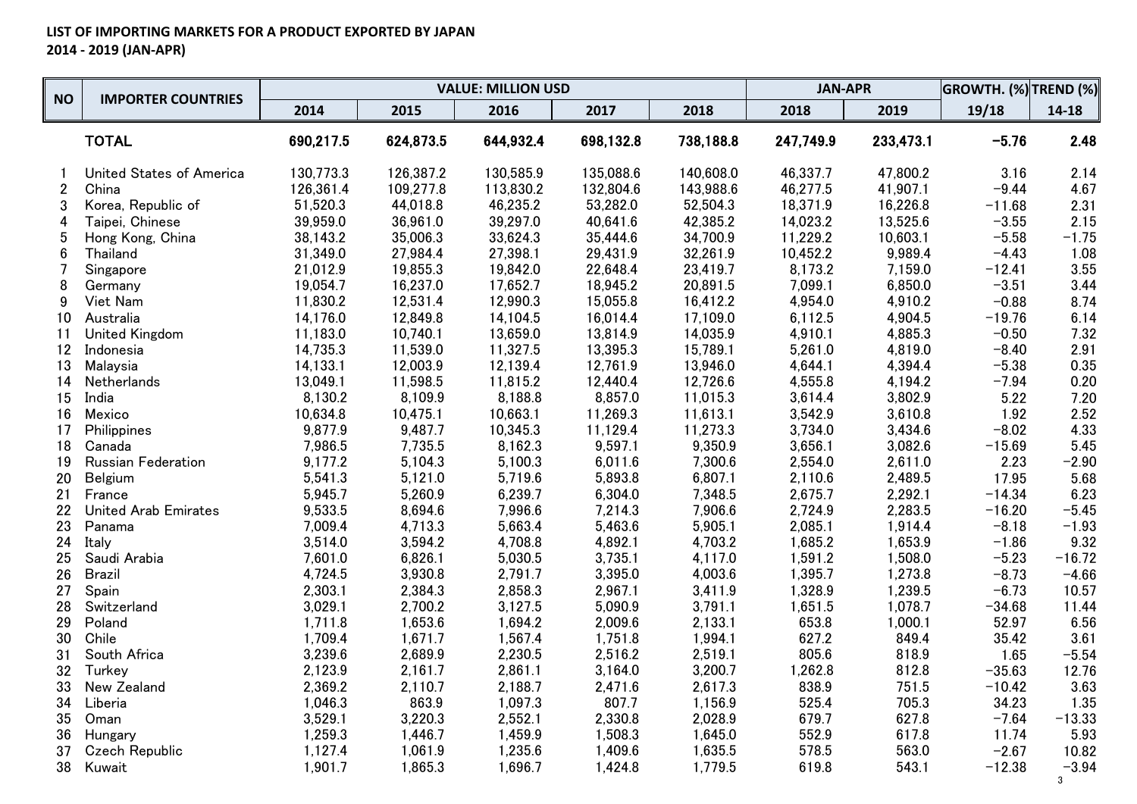|                 | <b>IMPORTER COUNTRIES</b>       |           |           | <b>VALUE: MILLION USD</b> |           |           | <b>JAN-APR</b> |           | GROWTH. (%) TREND (%) |              |
|-----------------|---------------------------------|-----------|-----------|---------------------------|-----------|-----------|----------------|-----------|-----------------------|--------------|
| <b>NO</b>       |                                 | 2014      | 2015      | 2016                      | 2017      | 2018      | 2018           | 2019      | 19/18                 | 14-18        |
|                 | <b>TOTAL</b>                    | 690,217.5 | 624,873.5 | 644,932.4                 | 698,132.8 | 738,188.8 | 247,749.9      | 233,473.1 | $-5.76$               | 2.48         |
|                 | <b>United States of America</b> | 130,773.3 | 126,387.2 | 130,585.9                 | 135,088.6 | 140,608.0 | 46,337.7       | 47,800.2  | 3.16                  | 2.14         |
| $\overline{2}$  | China                           | 126,361.4 | 109,277.8 | 113,830.2                 | 132,804.6 | 143,988.6 | 46,277.5       | 41,907.1  | $-9.44$               | 4.67         |
| 3               | Korea, Republic of              | 51,520.3  | 44,018.8  | 46,235.2                  | 53,282.0  | 52,504.3  | 18,371.9       | 16,226.8  | $-11.68$              | 2.31         |
| 4               | Taipei, Chinese                 | 39,959.0  | 36,961.0  | 39,297.0                  | 40,641.6  | 42,385.2  | 14,023.2       | 13,525.6  | $-3.55$               | 2.15         |
| 5               | Hong Kong, China                | 38,143.2  | 35,006.3  | 33,624.3                  | 35,444.6  | 34,700.9  | 11,229.2       | 10,603.1  | $-5.58$               | $-1.75$      |
| $6\phantom{1}$  | Thailand                        | 31,349.0  | 27,984.4  | 27,398.1                  | 29,431.9  | 32,261.9  | 10,452.2       | 9,989.4   | $-4.43$               | 1.08         |
| 7               | Singapore                       | 21,012.9  | 19,855.3  | 19,842.0                  | 22,648.4  | 23,419.7  | 8,173.2        | 7,159.0   | $-12.41$              | 3.55         |
| 8               | Germany                         | 19,054.7  | 16,237.0  | 17,652.7                  | 18,945.2  | 20,891.5  | 7,099.1        | 6,850.0   | $-3.51$               | 3.44         |
| 9               | Viet Nam                        | 11,830.2  | 12,531.4  | 12,990.3                  | 15,055.8  | 16,412.2  | 4,954.0        | 4,910.2   | $-0.88$               | 8.74         |
| 10              | Australia                       | 14,176.0  | 12,849.8  | 14,104.5                  | 16,014.4  | 17,109.0  | 6,112.5        | 4,904.5   | $-19.76$              | 6.14         |
| 11              | <b>United Kingdom</b>           | 11,183.0  | 10,740.1  | 13,659.0                  | 13,814.9  | 14,035.9  | 4,910.1        | 4,885.3   | $-0.50$               | 7.32         |
| 12 <sup>7</sup> | Indonesia                       | 14,735.3  | 11,539.0  | 11,327.5                  | 13,395.3  | 15,789.1  | 5,261.0        | 4,819.0   | $-8.40$               | 2.91         |
| 13              | Malaysia                        | 14,133.1  | 12,003.9  | 12,139.4                  | 12,761.9  | 13,946.0  | 4,644.1        | 4,394.4   | $-5.38$               | 0.35         |
| 14              | Netherlands                     | 13,049.1  | 11,598.5  | 11,815.2                  | 12,440.4  | 12,726.6  | 4,555.8        | 4,194.2   | $-7.94$               | 0.20         |
| 15              | India                           | 8,130.2   | 8,109.9   | 8,188.8                   | 8,857.0   | 11,015.3  | 3,614.4        | 3,802.9   | 5.22                  | 7.20         |
| 16              | Mexico                          | 10,634.8  | 10,475.1  | 10,663.1                  | 11,269.3  | 11,613.1  | 3,542.9        | 3,610.8   | 1.92                  | 2.52         |
| 17              | Philippines                     | 9,877.9   | 9,487.7   | 10,345.3                  | 11,129.4  | 11,273.3  | 3,734.0        | 3,434.6   | $-8.02$               | 4.33         |
| 18              | Canada                          | 7,986.5   | 7,735.5   | 8,162.3                   | 9,597.1   | 9,350.9   | 3,656.1        | 3,082.6   | $-15.69$              | 5.45         |
| 19              | <b>Russian Federation</b>       | 9,177.2   | 5,104.3   | 5,100.3                   | 6,011.6   | 7,300.6   | 2,554.0        | 2,611.0   | 2.23                  | $-2.90$      |
| 20              | Belgium                         | 5,541.3   | 5,121.0   | 5,719.6                   | 5,893.8   | 6,807.1   | 2,110.6        | 2,489.5   | 17.95                 | 5.68         |
| 21              | France                          | 5,945.7   | 5,260.9   | 6,239.7                   | 6,304.0   | 7,348.5   | 2,675.7        | 2,292.1   | $-14.34$              | 6.23         |
| 22              | <b>United Arab Emirates</b>     | 9,533.5   | 8,694.6   | 7,996.6                   | 7,214.3   | 7,906.6   | 2,724.9        | 2,283.5   | $-16.20$              | $-5.45$      |
| 23              | Panama                          | 7,009.4   | 4,713.3   | 5,663.4                   | 5,463.6   | 5,905.1   | 2,085.1        | 1,914.4   | $-8.18$               | $-1.93$      |
| 24              | Italy                           | 3,514.0   | 3,594.2   | 4,708.8                   | 4,892.1   | 4,703.2   | 1,685.2        | 1,653.9   | $-1.86$               | 9.32         |
| 25              | Saudi Arabia                    | 7,601.0   | 6,826.1   | 5,030.5                   | 3,735.1   | 4,117.0   | 1,591.2        | 1,508.0   | $-5.23$               | $-16.72$     |
| 26              | <b>Brazil</b>                   | 4,724.5   | 3,930.8   | 2,791.7                   | 3,395.0   | 4,003.6   | 1,395.7        | 1,273.8   | $-8.73$               | $-4.66$      |
| 27              | Spain                           | 2,303.1   | 2,384.3   | 2,858.3                   | 2,967.1   | 3,411.9   | 1,328.9        | 1,239.5   | $-6.73$               | 10.57        |
| 28              | Switzerland                     | 3,029.1   | 2,700.2   | 3,127.5                   | 5,090.9   | 3,791.1   | 1,651.5        | 1,078.7   | $-34.68$              | 11.44        |
| 29              | Poland                          | 1,711.8   | 1,653.6   | 1,694.2                   | 2,009.6   | 2,133.1   | 653.8          | 1,000.1   | 52.97                 | 6.56         |
| 30              | Chile                           | 1,709.4   | 1,671.7   | 1,567.4                   | 1,751.8   | 1,994.1   | 627.2          | 849.4     | 35.42                 | 3.61         |
| 31              | South Africa                    | 3,239.6   | 2,689.9   | 2,230.5                   | 2,516.2   | 2,519.1   | 805.6          | 818.9     | 1.65                  | $-5.54$      |
| 32              | Turkey                          | 2,123.9   | 2,161.7   | 2,861.1                   | 3,164.0   | 3,200.7   | 1,262.8        | 812.8     | $-35.63$              | 12.76        |
| 33              | New Zealand                     | 2,369.2   | 2,110.7   | 2,188.7                   | 2,471.6   | 2,617.3   | 838.9          | 751.5     | $-10.42$              | 3.63         |
| 34              | Liberia                         | 1,046.3   | 863.9     | 1,097.3                   | 807.7     | 1,156.9   | 525.4          | 705.3     | 34.23                 | 1.35         |
| 35              | Oman                            | 3,529.1   | 3,220.3   | 2,552.1                   | 2,330.8   | 2,028.9   | 679.7          | 627.8     | $-7.64$               | $-13.33$     |
| 36              | Hungary                         | 1,259.3   | 1,446.7   | 1,459.9                   | 1,508.3   | 1,645.0   | 552.9          | 617.8     | 11.74                 | 5.93         |
| 37              | <b>Czech Republic</b>           | 1,127.4   | 1,061.9   | 1,235.6                   | 1,409.6   | 1,635.5   | 578.5          | 563.0     | $-2.67$               | 10.82        |
| 38              | Kuwait                          | 1,901.7   | 1,865.3   | 1,696.7                   | 1,424.8   | 1,779.5   | 619.8          | 543.1     | $-12.38$              | $-3.94$<br>3 |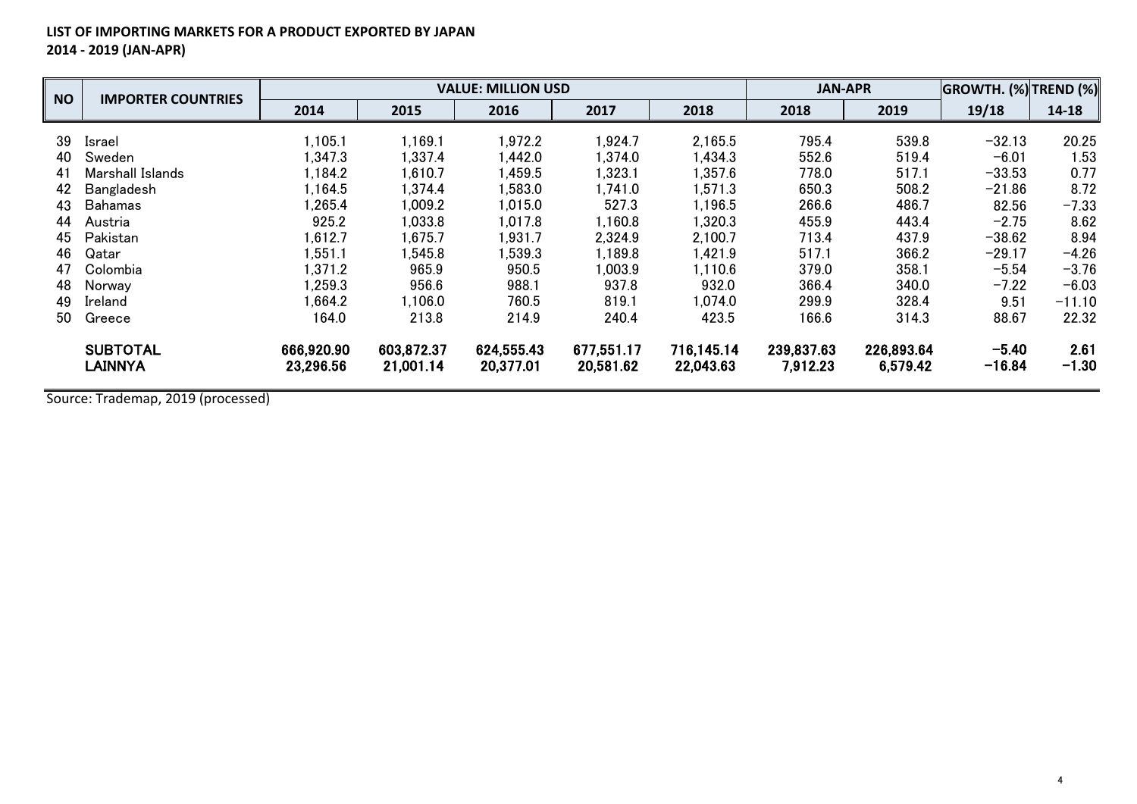## **LIST OF IMPORTING MARKETS FOR A PRODUCT EXPORTED BY JAPAN 2014 - 2019 (JAN-APR)**

| <b>NO</b> |                           |            | <b>JAN-APR</b> |            | <b>GROWTH. (%) TREND (%)</b> |            |            |            |          |          |
|-----------|---------------------------|------------|----------------|------------|------------------------------|------------|------------|------------|----------|----------|
|           | <b>IMPORTER COUNTRIES</b> | 2014       | 2015           | 2016       | 2017                         | 2018       | 2018       | 2019       | 19/18    | 14-18    |
| 39        | Israel                    | 1,105.1    | 1,169.1        | 1,972.2    | 1,924.7                      | 2,165.5    | 795.4      | 539.8      | $-32.13$ | 20.25    |
| 40        | Sweden                    | .347.3     | 1,337.4        | 1.442.0    | 1,374.0                      | 1,434.3    | 552.6      | 519.4      | $-6.01$  | 1.53     |
| 41        | Marshall Islands          | .184.2     | 1,610.7        | 1,459.5    | 1,323.1                      | 1,357.6    | 778.0      | 517.1      | $-33.53$ | 0.77     |
| 42        | Bangladesh                | .164.5     | 1,374.4        | 1,583.0    | 1,741.0                      | 1,571.3    | 650.3      | 508.2      | $-21.86$ | 8.72     |
| 43        | <b>Bahamas</b>            | .265.4     | .009.2         | 1,015.0    | 527.3                        | 1,196.5    | 266.6      | 486.7      | 82.56    | $-7.33$  |
| 44        | Austria                   | 925.2      | .033.8         | 1,017.8    | 1,160.8                      | ,320.3     | 455.9      | 443.4      | $-2.75$  | 8.62     |
| 45        | Pakistan                  | ,612.7     | 1,675.7        | 1,931.7    | 2,324.9                      | 2.100.7    | 713.4      | 437.9      | $-38.62$ | 8.94     |
| 46        | Qatar                     | ,551.1     | .545.8         | 1,539.3    | 1,189.8                      | 1,421.9    | 517.1      | 366.2      | $-29.17$ | $-4.26$  |
| 47        | Colombia                  | .371.2     | 965.9          | 950.5      | 1,003.9                      | 1,110.6    | 379.0      | 358.1      | $-5.54$  | $-3.76$  |
| 48        | Norway                    | .259.3     | 956.6          | 988.1      | 937.8                        | 932.0      | 366.4      | 340.0      | $-7.22$  | $-6.03$  |
| 49        | Ireland                   | ,664.2     | 1,106.0        | 760.5      | 819.1                        | 1,074.0    | 299.9      | 328.4      | 9.51     | $-11.10$ |
| 50        | Greece                    | 164.0      | 213.8          | 214.9      | 240.4                        | 423.5      | 166.6      | 314.3      | 88.67    | 22.32    |
|           | <b>SUBTOTAL</b>           | 666,920.90 | 603.872.37     | 624,555.43 | 677,551.17                   | 716,145.14 | 239,837.63 | 226,893.64 | $-5.40$  | 2.61     |
|           | <b>LAINNYA</b>            | 23,296.56  | 21,001.14      | 20,377.01  | 20,581.62                    | 22,043.63  | 7,912.23   | 6,579.42   | $-16.84$ | $-1.30$  |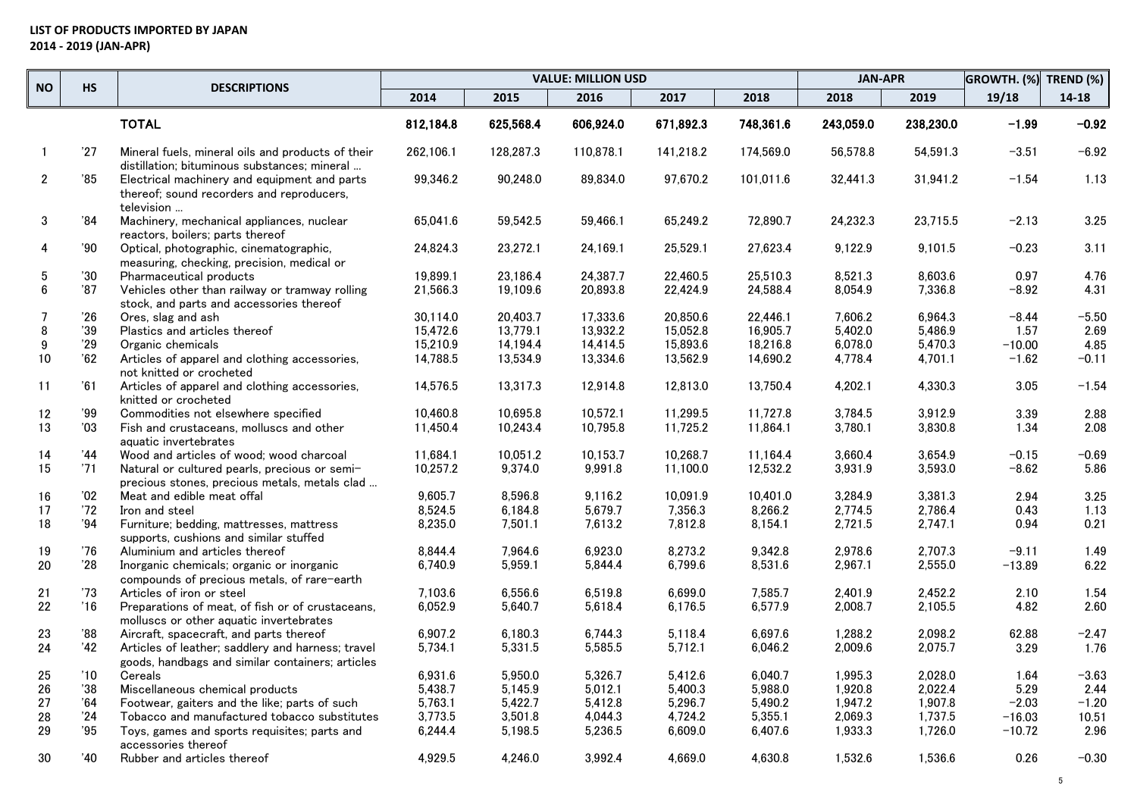|              | <b>HS</b>      | <b>DESCRIPTIONS</b>                                                                                     |           |           | <b>VALUE: MILLION USD</b> |           |           | <b>JAN-APR</b> |           | GROWTH. (%) | <b>TREND (%)</b> |
|--------------|----------------|---------------------------------------------------------------------------------------------------------|-----------|-----------|---------------------------|-----------|-----------|----------------|-----------|-------------|------------------|
| <b>NO</b>    |                |                                                                                                         | 2014      | 2015      | 2016                      | 2017      | 2018      | 2018           | 2019      | 19/18       | $14 - 18$        |
|              |                | <b>TOTAL</b>                                                                                            | 812,184.8 | 625,568.4 | 606,924.0                 | 671,892.3 | 748,361.6 | 243,059.0      | 238,230.0 | $-1.99$     | $-0.92$          |
| $\mathbf{1}$ | 27             | Mineral fuels, mineral oils and products of their<br>distillation; bituminous substances; mineral       | 262,106.1 | 128,287.3 | 110,878.1                 | 141,218.2 | 174,569.0 | 56,578.8       | 54,591.3  | $-3.51$     | $-6.92$          |
| $\mathbf{2}$ | '85            | Electrical machinery and equipment and parts<br>thereof; sound recorders and reproducers,<br>television | 99,346.2  | 90,248.0  | 89,834.0                  | 97,670.2  | 101,011.6 | 32,441.3       | 31,941.2  | $-1.54$     | 1.13             |
| $\mathbf{3}$ | 34'            | Machinery, mechanical appliances, nuclear<br>reactors, boilers; parts thereof                           | 65,041.6  | 59,542.5  | 59,466.1                  | 65,249.2  | 72,890.7  | 24,232.3       | 23,715.5  | $-2.13$     | 3.25             |
| 4            | '90            | Optical, photographic, cinematographic,<br>measuring, checking, precision, medical or                   | 24,824.3  | 23,272.1  | 24,169.1                  | 25,529.1  | 27,623.4  | 9,122.9        | 9,101.5   | $-0.23$     | 3.11             |
| 5            | $30^{\circ}$   | Pharmaceutical products                                                                                 | 19,899.1  | 23.186.4  | 24.387.7                  | 22.460.5  | 25.510.3  | 8.521.3        | 8.603.6   | 0.97        | 4.76             |
| 6            | '87            | Vehicles other than railway or tramway rolling<br>stock, and parts and accessories thereof              | 21,566.3  | 19,109.6  | 20,893.8                  | 22,424.9  | 24,588.4  | 8,054.9        | 7,336.8   | -8.92       | 4.31             |
| -7           | '26            | Ores, slag and ash                                                                                      | 30,114.0  | 20,403.7  | 17,333.6                  | 20,850.6  | 22,446.1  | 7,606.2        | 6,964.3   | $-8.44$     | $-5.50$          |
| 8            | 39'            | Plastics and articles thereof                                                                           | 15,472.6  | 13,779.1  | 13,932.2                  | 15,052.8  | 16,905.7  | 5,402.0        | 5,486.9   | 1.57        | 2.69             |
| 9            | 29'            | Organic chemicals                                                                                       | 15.210.9  | 14.194.4  | 14,414.5                  | 15,893.6  | 18,216.8  | 6,078.0        | 5.470.3   | $-10.00$    | 4.85             |
| 10           | 62'            | Articles of apparel and clothing accessories,<br>not knitted or crocheted                               | 14,788.5  | 13,534.9  | 13,334.6                  | 13,562.9  | 14,690.2  | 4,778.4        | 4,701.1   | $-1.62$     | $-0.11$          |
| 11           | '61            | Articles of apparel and clothing accessories,<br>knitted or crocheted                                   | 14,576.5  | 13,317.3  | 12,914.8                  | 12,813.0  | 13,750.4  | 4,202.1        | 4,330.3   | 3.05        | $-1.54$          |
| 12           | '99            | Commodities not elsewhere specified                                                                     | 10.460.8  | 10.695.8  | 10.572.1                  | 11.299.5  | 11.727.8  | 3.784.5        | 3.912.9   | 3.39        | 2.88             |
| 13           | '03            | Fish and crustaceans, molluscs and other<br>aquatic invertebrates                                       | 11,450.4  | 10,243.4  | 10,795.8                  | 11,725.2  | 11,864.1  | 3,780.1        | 3,830.8   | 1.34        | 2.08             |
| 14           | '44            | Wood and articles of wood; wood charcoal                                                                | 11,684.1  | 10.051.2  | 10.153.7                  | 10.268.7  | 11,164.4  | 3.660.4        | 3.654.9   | $-0.15$     | $-0.69$          |
| 15           | 71             | Natural or cultured pearls, precious or semi-<br>precious stones, precious metals, metals clad          | 10,257.2  | 9,374.0   | 9,991.8                   | 11,100.0  | 12,532.2  | 3,931.9        | 3,593.0   | -8.62       | 5.86             |
| 16           | '02            | Meat and edible meat offal                                                                              | 9,605.7   | 8,596.8   | 9,116.2                   | 10,091.9  | 10,401.0  | 3,284.9        | 3,381.3   | 2.94        | 3.25             |
| 17           | 72             | Iron and steel                                                                                          | 8,524.5   | 6,184.8   | 5,679.7                   | 7,356.3   | 8,266.2   | 2,774.5        | 2,786.4   | 0.43        | 1.13             |
| 18           | '94            | Furniture; bedding, mattresses, mattress<br>supports, cushions and similar stuffed                      | 8,235.0   | 7,501.1   | 7,613.2                   | 7,812.8   | 8,154.1   | 2,721.5        | 2,747.1   | 0.94        | 0.21             |
| 19           | '76            | Aluminium and articles thereof                                                                          | 8.844.4   | 7.964.6   | 6,923.0                   | 8,273.2   | 9,342.8   | 2,978.6        | 2.707.3   | $-9.11$     | 1.49             |
| 20           | 28             | Inorganic chemicals; organic or inorganic<br>compounds of precious metals, of rare-earth                | 6,740.9   | 5,959.1   | 5,844.4                   | 6,799.6   | 8,531.6   | 2,967.1        | 2,555.0   | $-13.89$    | 6.22             |
| 21           | '73            | Articles of iron or steel                                                                               | 7,103.6   | 6,556.6   | 6,519.8                   | 6,699.0   | 7,585.7   | 2,401.9        | 2,452.2   | 2.10        | 1.54             |
| 22           | 16'            | Preparations of meat, of fish or of crustaceans,<br>molluscs or other aquatic invertebrates             | 6,052.9   | 5,640.7   | 5,618.4                   | 6,176.5   | 6,577.9   | 2,008.7        | 2,105.5   | 4.82        | 2.60             |
| 23           | '88            | Aircraft, spacecraft, and parts thereof                                                                 | 6.907.2   | 6.180.3   | 6.744.3                   | 5.118.4   | 6.697.6   | 1.288.2        | 2.098.2   | 62.88       | $-2.47$          |
| 24           | '42            | Articles of leather; saddlery and harness; travel<br>goods, handbags and similar containers; articles   | 5,734.1   | 5,331.5   | 5,585.5                   | 5,712.1   | 6,046.2   | 2,009.6        | 2,075.7   | 3.29        | 1.76             |
| 25           | $^{\prime}$ 10 | Cereals                                                                                                 | 6,931.6   | 5,950.0   | 5,326.7                   | 5,412.6   | 6,040.7   | 1,995.3        | 2,028.0   | 1.64        | $-3.63$          |
| 26           | 38             | Miscellaneous chemical products                                                                         | 5,438.7   | 5,145.9   | 5,012.1                   | 5,400.3   | 5,988.0   | 1,920.8        | 2,022.4   | 5.29        | 2.44             |
| 27           | '64            | Footwear, gaiters and the like; parts of such                                                           | 5,763.1   | 5,422.7   | 5,412.8                   | 5,296.7   | 5,490.2   | 1,947.2        | 1,907.8   | $-2.03$     | $-1.20$          |
| 28           | 24             | Tobacco and manufactured tobacco substitutes                                                            | 3,773.5   | 3,501.8   | 4,044.3                   | 4,724.2   | 5,355.1   | 2,069.3        | 1,737.5   | $-16.03$    | 10.51            |
| 29           | '95            | Toys, games and sports requisites; parts and<br>accessories thereof                                     | 6,244.4   | 5,198.5   | 5,236.5                   | 6,609.0   | 6,407.6   | 1,933.3        | 1,726.0   | $-10.72$    | 2.96             |
| 30           | '40            | Rubber and articles thereof                                                                             | 4,929.5   | 4,246.0   | 3,992.4                   | 4,669.0   | 4,630.8   | 1,532.6        | 1,536.6   | 0.26        | $-0.30$          |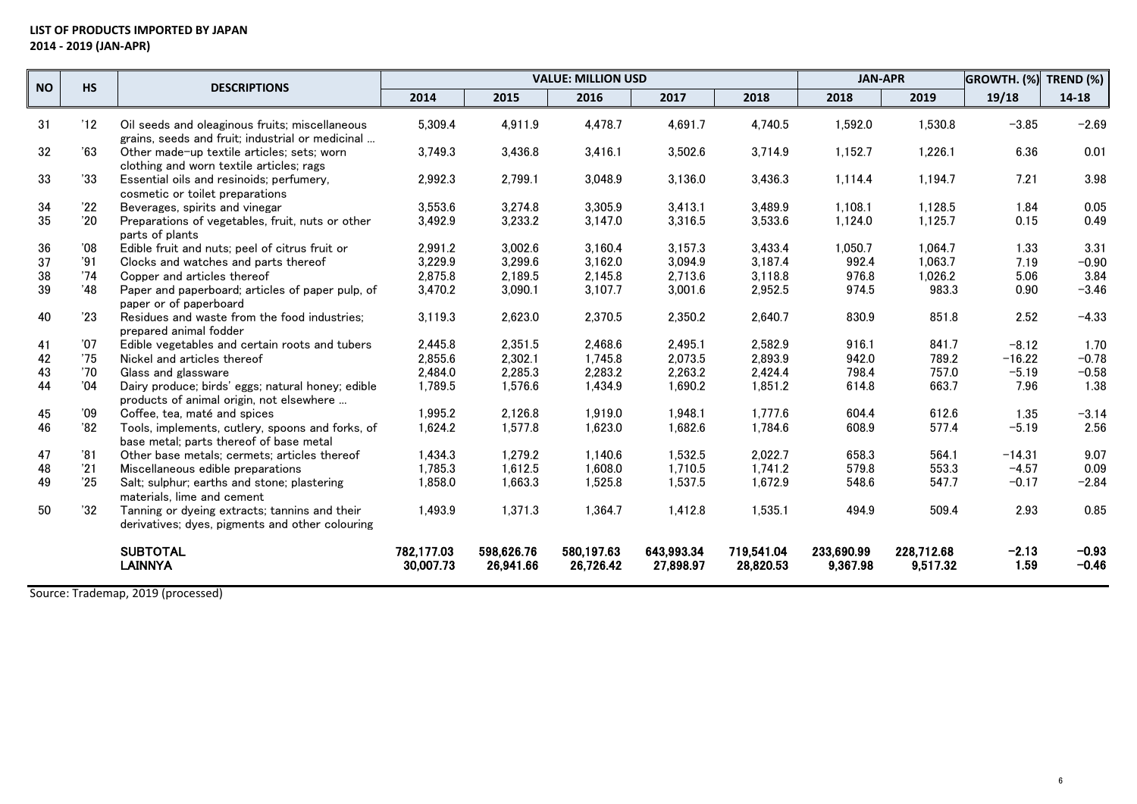## **LIST OF PRODUCTS IMPORTED BY JAPAN 2014 - 2019 (JAN-APR)**

| <b>NO</b> | <b>HS</b> | <b>DESCRIPTIONS</b>                                                                                |                         |                         | <b>JAN-APR</b>          |                         | GROWTH. (%)             | TREND (%)              |                        |                 |                    |
|-----------|-----------|----------------------------------------------------------------------------------------------------|-------------------------|-------------------------|-------------------------|-------------------------|-------------------------|------------------------|------------------------|-----------------|--------------------|
|           |           |                                                                                                    | 2014                    | 2015                    | 2016                    | 2017                    | 2018                    | 2018                   | 2019                   | 19/18           | $14 - 18$          |
| 31        | '12       | Oil seeds and oleaginous fruits; miscellaneous<br>grains, seeds and fruit; industrial or medicinal | 5,309.4                 | 4,911.9                 | 4,478.7                 | 4,691.7                 | 4,740.5                 | 1,592.0                | 1,530.8                | $-3.85$         | $-2.69$            |
| 32        | 63        | Other made-up textile articles; sets; worn<br>clothing and worn textile articles; rags             | 3,749.3                 | 3,436.8                 | 3,416.1                 | 3,502.6                 | 3,714.9                 | 1,152.7                | 1,226.1                | 6.36            | 0.01               |
| 33        | 33        | Essential oils and resinoids; perfumery,<br>cosmetic or toilet preparations                        | 2,992.3                 | 2,799.1                 | 3,048.9                 | 3,136.0                 | 3,436.3                 | 1,114.4                | 1,194.7                | 7.21            | 3.98               |
| 34        | '22       | Beverages, spirits and vinegar                                                                     | 3,553.6                 | 3,274.8                 | 3,305.9                 | 3,413.1                 | 3,489.9                 | 1,108.1                | 1,128.5                | 1.84            | 0.05               |
| 35        | '20       | Preparations of vegetables, fruit, nuts or other<br>parts of plants                                | 3,492.9                 | 3,233.2                 | 3,147.0                 | 3,316.5                 | 3,533.6                 | 1,124.0                | 1,125.7                | 0.15            | 0.49               |
| 36        | 08'       | Edible fruit and nuts; peel of citrus fruit or                                                     | 2,991.2                 | 3,002.6                 | 3,160.4                 | 3,157.3                 | 3,433.4                 | 1,050.7                | 1,064.7                | 1.33            | 3.31               |
| 37        | '91       | Clocks and watches and parts thereof                                                               | 3,229.9                 | 3,299.6                 | 3,162.0                 | 3,094.9                 | 3,187.4                 | 992.4                  | 1,063.7                | 7.19            | $-0.90$            |
| 38        | '74       | Copper and articles thereof                                                                        | 2,875.8                 | 2,189.5                 | 2.145.8                 | 2,713.6                 | 3,118.8                 | 976.8                  | 1,026.2                | 5.06            | 3.84               |
| 39        | '48       | Paper and paperboard; articles of paper pulp, of<br>paper or of paperboard                         | 3,470.2                 | 3,090.1                 | 3,107.7                 | 3,001.6                 | 2,952.5                 | 974.5                  | 983.3                  | 0.90            | $-3.46$            |
| 40        | '23       | Residues and waste from the food industries:<br>prepared animal fodder                             | 3,119.3                 | 2,623.0                 | 2,370.5                 | 2,350.2                 | 2,640.7                 | 830.9                  | 851.8                  | 2.52            | $-4.33$            |
| 41        | '07       | Edible vegetables and certain roots and tubers                                                     | 2,445.8                 | 2,351.5                 | 2.468.6                 | 2,495.1                 | 2,582.9                 | 916.1                  | 841.7                  | $-8.12$         | 1.70               |
| 42        | '75       | Nickel and articles thereof                                                                        | 2,855.6                 | 2,302.1                 | 1,745.8                 | 2,073.5                 | 2,893.9                 | 942.0                  | 789.2                  | $-16.22$        | $-0.78$            |
| 43        | '70       | Glass and glassware                                                                                | 2.484.0                 | 2,285.3                 | 2.283.2                 | 2,263.2                 | 2,424.4                 | 798.4                  | 757.0                  | $-5.19$         | $-0.58$            |
| 44        | '04       | Dairy produce; birds' eggs; natural honey; edible<br>products of animal origin, not elsewhere      | 1,789.5                 | 1,576.6                 | 1,434.9                 | 1,690.2                 | 1,851.2                 | 614.8                  | 663.7                  | 7.96            | 1.38               |
| 45        | '09       | Coffee, tea, maté and spices                                                                       | 1,995.2                 | 2,126.8                 | 1.919.0                 | 1.948.1                 | 1,777.6                 | 604.4                  | 612.6                  | 1.35            | $-3.14$            |
| 46        | '82       | Tools, implements, cutlery, spoons and forks, of<br>base metal: parts thereof of base metal        | 1,624.2                 | 1,577.8                 | 1,623.0                 | 1,682.6                 | 1,784.6                 | 608.9                  | 577.4                  | $-5.19$         | 2.56               |
| 47        | '81       | Other base metals; cermets; articles thereof                                                       | 1,434.3                 | 1.279.2                 | 1.140.6                 | 1,532.5                 | 2,022.7                 | 658.3                  | 564.1                  | $-14.31$        | 9.07               |
| 48        | '21       | Miscellaneous edible preparations                                                                  | 1,785.3                 | 1,612.5                 | 1,608.0                 | 1,710.5                 | 1,741.2                 | 579.8                  | 553.3                  | $-4.57$         | 0.09               |
| 49        | '25       | Salt; sulphur; earths and stone; plastering<br>materials, lime and cement                          | 1,858.0                 | 1,663.3                 | 1,525.8                 | 1,537.5                 | 1,672.9                 | 548.6                  | 547.7                  | $-0.17$         | $-2.84$            |
| 50        | 32        | Tanning or dyeing extracts; tannins and their<br>derivatives; dyes, pigments and other colouring   | 1,493.9                 | 1,371.3                 | 1.364.7                 | 1,412.8                 | 1,535.1                 | 494.9                  | 509.4                  | 2.93            | 0.85               |
|           |           | <b>SUBTOTAL</b><br><b>LAINNYA</b>                                                                  | 782,177.03<br>30,007.73 | 598,626.76<br>26.941.66 | 580,197.63<br>26,726.42 | 643,993.34<br>27,898.97 | 719,541.04<br>28.820.53 | 233,690.99<br>9,367.98 | 228,712.68<br>9,517.32 | $-2.13$<br>1.59 | $-0.93$<br>$-0.46$ |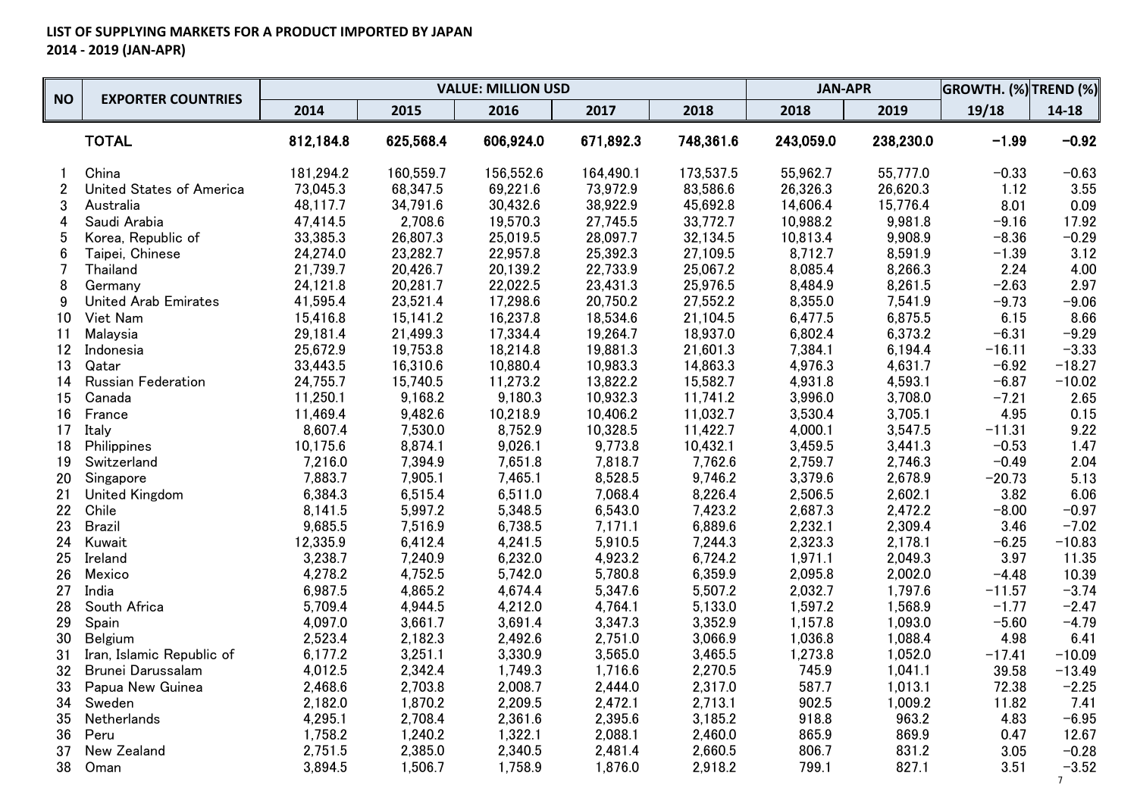|                | <b>EXPORTER COUNTRIES</b>   |           |           | <b>VALUE: MILLION USD</b> |           |           | <b>JAN-APR</b> |           | <b>GROWTH. (%) TREND (%)</b> |                        |
|----------------|-----------------------------|-----------|-----------|---------------------------|-----------|-----------|----------------|-----------|------------------------------|------------------------|
| <b>NO</b>      |                             | 2014      | 2015      | 2016                      | 2017      | 2018      | 2018           | 2019      | 19/18                        | 14-18                  |
|                | <b>TOTAL</b>                | 812,184.8 | 625,568.4 | 606,924.0                 | 671,892.3 | 748,361.6 | 243,059.0      | 238,230.0 | $-1.99$                      | $-0.92$                |
|                | China                       | 181,294.2 | 160,559.7 | 156,552.6                 | 164,490.1 | 173,537.5 | 55,962.7       | 55,777.0  | $-0.33$                      | $-0.63$                |
| $\overline{c}$ | United States of America    | 73,045.3  | 68,347.5  | 69,221.6                  | 73,972.9  | 83,586.6  | 26,326.3       | 26,620.3  | 1.12                         | 3.55                   |
| 3              | Australia                   | 48,117.7  | 34,791.6  | 30,432.6                  | 38,922.9  | 45,692.8  | 14,606.4       | 15,776.4  | 8.01                         | 0.09                   |
| 4              | Saudi Arabia                | 47,414.5  | 2,708.6   | 19,570.3                  | 27,745.5  | 33,772.7  | 10,988.2       | 9,981.8   | $-9.16$                      | 17.92                  |
| 5              | Korea, Republic of          | 33,385.3  | 26,807.3  | 25,019.5                  | 28,097.7  | 32,134.5  | 10,813.4       | 9,908.9   | $-8.36$                      | $-0.29$                |
| 6              | Taipei, Chinese             | 24,274.0  | 23,282.7  | 22,957.8                  | 25,392.3  | 27,109.5  | 8,712.7        | 8,591.9   | $-1.39$                      | 3.12                   |
| 7              | Thailand                    | 21,739.7  | 20,426.7  | 20,139.2                  | 22,733.9  | 25,067.2  | 8,085.4        | 8,266.3   | 2.24                         | 4.00                   |
| 8              | Germany                     | 24,121.8  | 20,281.7  | 22,022.5                  | 23,431.3  | 25,976.5  | 8,484.9        | 8,261.5   | $-2.63$                      | 2.97                   |
| 9              | <b>United Arab Emirates</b> | 41,595.4  | 23,521.4  | 17,298.6                  | 20,750.2  | 27,552.2  | 8,355.0        | 7,541.9   | $-9.73$                      | $-9.06$                |
| 10             | Viet Nam                    | 15,416.8  | 15,141.2  | 16,237.8                  | 18,534.6  | 21,104.5  | 6,477.5        | 6,875.5   | 6.15                         | 8.66                   |
| 11             | Malaysia                    | 29,181.4  | 21,499.3  | 17,334.4                  | 19,264.7  | 18,937.0  | 6,802.4        | 6,373.2   | $-6.31$                      | $-9.29$                |
| 12             | Indonesia                   | 25,672.9  | 19,753.8  | 18,214.8                  | 19,881.3  | 21,601.3  | 7,384.1        | 6,194.4   | $-16.11$                     | $-3.33$                |
| 13             | Qatar                       | 33,443.5  | 16,310.6  | 10,880.4                  | 10,983.3  | 14,863.3  | 4,976.3        | 4,631.7   | $-6.92$                      | $-18.27$               |
| 14             | <b>Russian Federation</b>   | 24,755.7  | 15,740.5  | 11,273.2                  | 13,822.2  | 15,582.7  | 4,931.8        | 4,593.1   | $-6.87$                      | $-10.02$               |
| 15             | Canada                      | 11,250.1  | 9,168.2   | 9,180.3                   | 10,932.3  | 11,741.2  | 3,996.0        | 3,708.0   | $-7.21$                      | 2.65                   |
| 16             | France                      | 11,469.4  | 9,482.6   | 10,218.9                  | 10,406.2  | 11,032.7  | 3,530.4        | 3,705.1   | 4.95                         | 0.15                   |
| 17             | Italy                       | 8,607.4   | 7,530.0   | 8,752.9                   | 10,328.5  | 11,422.7  | 4,000.1        | 3,547.5   | $-11.31$                     | 9.22                   |
| 18             | Philippines                 | 10,175.6  | 8,874.1   | 9,026.1                   | 9,773.8   | 10,432.1  | 3,459.5        | 3,441.3   | $-0.53$                      | 1.47                   |
| 19             | Switzerland                 | 7,216.0   | 7,394.9   | 7,651.8                   | 7,818.7   | 7,762.6   | 2,759.7        | 2,746.3   | $-0.49$                      | 2.04                   |
| 20             | Singapore                   | 7,883.7   | 7,905.1   | 7,465.1                   | 8,528.5   | 9,746.2   | 3,379.6        | 2,678.9   | $-20.73$                     | 5.13                   |
| 21             | United Kingdom              | 6,384.3   | 6,515.4   | 6,511.0                   | 7,068.4   | 8,226.4   | 2,506.5        | 2,602.1   | 3.82                         | 6.06                   |
| 22             | Chile                       | 8,141.5   | 5,997.2   | 5,348.5                   | 6,543.0   | 7,423.2   | 2,687.3        | 2,472.2   | $-8.00$                      | $-0.97$                |
| 23             | Brazil                      | 9,685.5   | 7,516.9   | 6,738.5                   | 7,171.1   | 6,889.6   | 2,232.1        | 2,309.4   | 3.46                         | $-7.02$                |
| 24             | Kuwait                      | 12,335.9  | 6,412.4   | 4,241.5                   | 5,910.5   | 7,244.3   | 2,323.3        | 2,178.1   | $-6.25$                      | $-10.83$               |
| 25             | Ireland                     | 3,238.7   | 7,240.9   | 6,232.0                   | 4,923.2   | 6,724.2   | 1,971.1        | 2,049.3   | 3.97                         | 11.35                  |
| 26             | Mexico                      | 4,278.2   | 4,752.5   | 5,742.0                   | 5,780.8   | 6,359.9   | 2,095.8        | 2,002.0   | $-4.48$                      | 10.39                  |
| 27             | India                       | 6,987.5   | 4,865.2   | 4,674.4                   | 5,347.6   | 5,507.2   | 2,032.7        | 1,797.6   | $-11.57$                     | $-3.74$                |
| 28             | South Africa                | 5,709.4   | 4,944.5   | 4,212.0                   | 4,764.1   | 5,133.0   | 1,597.2        | 1,568.9   | $-1.77$                      | $-2.47$                |
| 29             | Spain                       | 4,097.0   | 3,661.7   | 3,691.4                   | 3,347.3   | 3,352.9   | 1,157.8        | 1,093.0   | $-5.60$                      | $-4.79$                |
| 30             | <b>Belgium</b>              | 2,523.4   | 2,182.3   | 2,492.6                   | 2,751.0   | 3,066.9   | 1,036.8        | 1,088.4   | 4.98                         | 6.41                   |
| 31             | Iran, Islamic Republic of   | 6,177.2   | 3,251.1   | 3,330.9                   | 3,565.0   | 3,465.5   | 1,273.8        | 1,052.0   | $-17.41$                     | $-10.09$               |
| 32             | Brunei Darussalam           | 4,012.5   | 2,342.4   | 1,749.3                   | 1,716.6   | 2,270.5   | 745.9          | 1,041.1   | 39.58                        | $-13.49$               |
| 33             | Papua New Guinea            | 2,468.6   | 2,703.8   | 2,008.7                   | 2,444.0   | 2,317.0   | 587.7          | 1,013.1   | 72.38                        | $-2.25$                |
| 34             | Sweden                      | 2,182.0   | 1,870.2   | 2,209.5                   | 2,472.1   | 2,713.1   | 902.5          | 1,009.2   | 11.82                        | 7.41                   |
| 35             | Netherlands                 | 4,295.1   | 2,708.4   | 2,361.6                   | 2,395.6   | 3,185.2   | 918.8          | 963.2     | 4.83                         | $-6.95$                |
| 36             | Peru                        | 1,758.2   | 1,240.2   | 1,322.1                   | 2,088.1   | 2,460.0   | 865.9          | 869.9     | 0.47                         | 12.67                  |
| 37             | New Zealand                 | 2,751.5   | 2,385.0   | 2,340.5                   | 2,481.4   | 2,660.5   | 806.7          | 831.2     | 3.05                         | $-0.28$                |
| 38             | Oman                        | 3,894.5   | 1,506.7   | 1,758.9                   | 1,876.0   | 2,918.2   | 799.1          | 827.1     | 3.51                         | $-3.52$<br>$7^{\circ}$ |